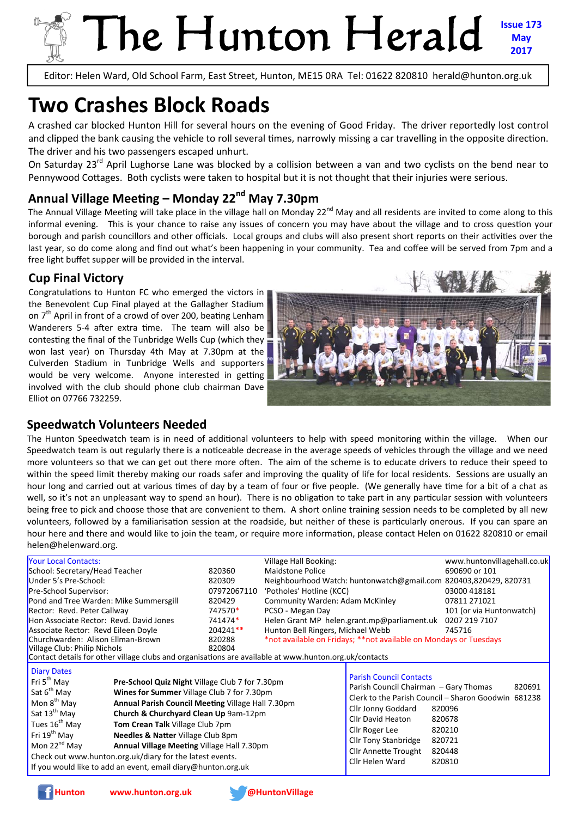## The Hunton Herald **Issue 173 May 2017**

Editor: Helen Ward, Old School Farm, East Street, Hunton, ME15 0RA Tel: 01622 820810 herald@hunton.org.uk

# **Two Crashes Block Roads**

A crashed car blocked Hunton Hill for several hours on the evening of Good Friday. The driver reportedly lost control and clipped the bank causing the vehicle to roll several times, narrowly missing a car travelling in the opposite direction. The driver and his two passengers escaped unhurt.

On Saturday 23<sup>rd</sup> April Lughorse Lane was blocked by a collision between a van and two cyclists on the bend near to Pennywood Cottages. Both cyclists were taken to hospital but it is not thought that their injuries were serious.

## Annual Village Meeting – Monday 22<sup>nd</sup> May 7.30pm

The Annual Village Meeting will take place in the village hall on Monday  $2^{nd}$  May and all residents are invited to come along to this informal evening. This is your chance to raise any issues of concern you may have about the village and to cross question your borough and parish councillors and other officials. Local groups and clubs will also present short reports on their activities over the last year, so do come along and find out what's been happening in your community. Tea and coffee will be served from 7pm and a free light buffet supper will be provided in the interval.

### **Cup Final Victory**

Congratulations to Hunton FC who emerged the victors in the Benevolent Cup Final played at the Gallagher Stadium on  $7<sup>th</sup>$  April in front of a crowd of over 200, beating Lenham Wanderers 5-4 after extra time. The team will also be contesting the final of the Tunbridge Wells Cup (which they won last year) on Thursday 4th May at 7.30pm at the Culverden Stadium in Tunbridge Wells and supporters would be very welcome. Anyone interested in getting involved with the club should phone club chairman Dave Elliot on 07766 732259.



#### **Speedwatch Volunteers Needed**

The Hunton Speedwatch team is in need of additional volunteers to help with speed monitoring within the village. When our Speedwatch team is out regularly there is a noticeable decrease in the average speeds of vehicles through the village and we need more volunteers so that we can get out there more often. The aim of the scheme is to educate drivers to reduce their speed to within the speed limit thereby making our roads safer and improving the quality of life for local residents. Sessions are usually an hour long and carried out at various times of day by a team of four or five people. (We generally have time for a bit of a chat as well, so it's not an unpleasant way to spend an hour). There is no obligation to take part in any particular session with volunteers being free to pick and choose those that are convenient to them. A short online training session needs to be completed by all new volunteers, followed by a familiarisation session at the roadside, but neither of these is particularly onerous. If you can spare an hour here and there and would like to join the team, or require more information, please contact Helen on 01622 820810 or email helen@helenward.org.

| <b>Your Local Contacts:</b>                                                                                                                                                                                                                                                                                                                                                                                                                                                                                                                                                                                                                                               |                                                                             | Village Hall Booking:                  |                                                                                                                                                                                                                       | www.huntonvillagehall.co.uk                                                                                               |  |  |  |
|---------------------------------------------------------------------------------------------------------------------------------------------------------------------------------------------------------------------------------------------------------------------------------------------------------------------------------------------------------------------------------------------------------------------------------------------------------------------------------------------------------------------------------------------------------------------------------------------------------------------------------------------------------------------------|-----------------------------------------------------------------------------|----------------------------------------|-----------------------------------------------------------------------------------------------------------------------------------------------------------------------------------------------------------------------|---------------------------------------------------------------------------------------------------------------------------|--|--|--|
| School: Secretary/Head Teacher                                                                                                                                                                                                                                                                                                                                                                                                                                                                                                                                                                                                                                            | 820360                                                                      | Maidstone Police                       |                                                                                                                                                                                                                       | 690690 or 101                                                                                                             |  |  |  |
| Under 5's Pre-School:                                                                                                                                                                                                                                                                                                                                                                                                                                                                                                                                                                                                                                                     | 820309                                                                      |                                        | Neighbourhood Watch: huntonwatch@gmail.com 820403,820429, 820731                                                                                                                                                      |                                                                                                                           |  |  |  |
| Pre-School Supervisor:                                                                                                                                                                                                                                                                                                                                                                                                                                                                                                                                                                                                                                                    | 07972067110                                                                 | 'Potholes' Hotline (KCC)               |                                                                                                                                                                                                                       | 03000 418181                                                                                                              |  |  |  |
| Pond and Tree Warden: Mike Summersgill                                                                                                                                                                                                                                                                                                                                                                                                                                                                                                                                                                                                                                    | 820429                                                                      | <b>Community Warden: Adam McKinley</b> |                                                                                                                                                                                                                       | 07811 271021                                                                                                              |  |  |  |
| Rector: Revd. Peter Callway                                                                                                                                                                                                                                                                                                                                                                                                                                                                                                                                                                                                                                               | 747570*                                                                     | PCSO - Megan Day                       |                                                                                                                                                                                                                       | 101 (or via Huntonwatch)                                                                                                  |  |  |  |
| Hon Associate Rector: Revd. David Jones                                                                                                                                                                                                                                                                                                                                                                                                                                                                                                                                                                                                                                   | 741474*                                                                     |                                        | Helen Grant MP helen.grant.mp@parliament.uk                                                                                                                                                                           | 0207 219 7107                                                                                                             |  |  |  |
| Associate Rector: Revd Eileen Doyle                                                                                                                                                                                                                                                                                                                                                                                                                                                                                                                                                                                                                                       | 204241**                                                                    | Hunton Bell Ringers, Michael Webb      |                                                                                                                                                                                                                       | 745716                                                                                                                    |  |  |  |
| Churchwarden: Alison Ellman-Brown                                                                                                                                                                                                                                                                                                                                                                                                                                                                                                                                                                                                                                         | *not available on Fridays; **not available on Mondays or Tuesdays<br>820288 |                                        |                                                                                                                                                                                                                       |                                                                                                                           |  |  |  |
| Village Club: Philip Nichols<br>820804                                                                                                                                                                                                                                                                                                                                                                                                                                                                                                                                                                                                                                    |                                                                             |                                        |                                                                                                                                                                                                                       |                                                                                                                           |  |  |  |
| Contact details for other village clubs and organisations are available at www.hunton.org.uk/contacts                                                                                                                                                                                                                                                                                                                                                                                                                                                                                                                                                                     |                                                                             |                                        |                                                                                                                                                                                                                       |                                                                                                                           |  |  |  |
| <b>Diary Dates</b><br>Fri 5 <sup>th</sup> May<br>Pre-School Quiz Night Village Club 7 for 7.30pm<br>Sat 6 <sup>th</sup> May<br>Wines for Summer Village Club 7 for 7.30pm<br>Mon 8 <sup>th</sup> May<br>Annual Parish Council Meeting Village Hall 7.30pm<br>Sat $13^{th}$ May<br>Church & Churchyard Clean Up 9am-12pm<br>Tues 16 <sup>th</sup> May<br>Tom Crean Talk Village Club 7pm<br>Fri 19 <sup>th</sup> May<br><b>Needles &amp; Natter Village Club 8pm</b><br>Mon 22 <sup>nd</sup> May<br>Annual Village Meeting Village Hall 7.30pm<br>Check out www.hunton.org.uk/diary for the latest events.<br>If you would like to add an event, email diary@hunton.org.uk |                                                                             |                                        | <b>Parish Council Contacts</b><br>Parish Council Chairman - Gary Thomas<br>Cllr Jonny Goddard<br>Cllr David Heaton<br>Cllr Roger Lee<br><b>Cllr Tony Stanbridge</b><br><b>Cllr Annette Trought</b><br>Cllr Helen Ward | 820691<br>Clerk to the Parish Council - Sharon Goodwin 681238<br>820096<br>820678<br>820210<br>820721<br>820448<br>820810 |  |  |  |

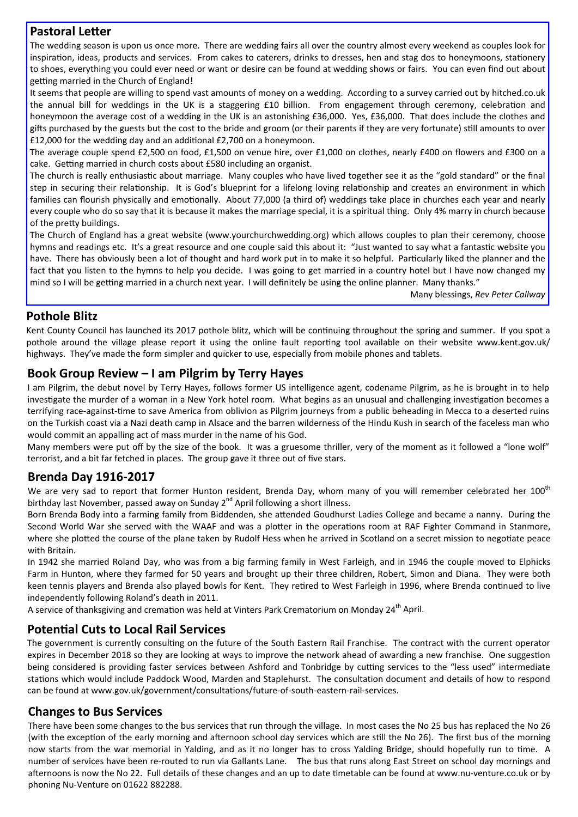#### **Pastoral Letter**

The wedding season is upon us once more. There are wedding fairs all over the country almost every weekend as couples look for inspiration, ideas, products and services. From cakes to caterers, drinks to dresses, hen and stag dos to honeymoons, stationery to shoes, everything you could ever need or want or desire can be found at wedding shows or fairs. You can even find out about getting married in the Church of England!

It seems that people are willing to spend vast amounts of money on a wedding. According to a survey carried out by hitched.co.uk the annual bill for weddings in the UK is a staggering £10 billion. From engagement through ceremony, celebration and honeymoon the average cost of a wedding in the UK is an astonishing £36,000. Yes, £36,000. That does include the clothes and gifts purchased by the guests but the cost to the bride and groom (or their parents if they are very fortunate) still amounts to over £12,000 for the wedding day and an additional £2,700 on a honeymoon.

The average couple spend £2,500 on food, £1,500 on venue hire, over £1,000 on clothes, nearly £400 on flowers and £300 on a cake. Getting married in church costs about £580 including an organist.

The church is really enthusiastic about marriage. Many couples who have lived together see it as the "gold standard" or the final step in securing their relationship. It is God's blueprint for a lifelong loving relationship and creates an environment in which families can flourish physically and emotionally. About 77,000 (a third of) weddings take place in churches each year and nearly every couple who do so say that it is because it makes the marriage special, it is a spiritual thing. Only 4% marry in church because of the pretty buildings.

The Church of England has a great website (www.yourchurchwedding.org) which allows couples to plan their ceremony, choose hymns and readings etc. It's a great resource and one couple said this about it: "Just wanted to say what a fantastic website you have. There has obviously been a lot of thought and hard work put in to make it so helpful. Particularly liked the planner and the fact that you listen to the hymns to help you decide. I was going to get married in a country hotel but I have now changed my mind so I will be getting married in a church next year. I will definitely be using the online planner. Many thanks."

Many blessings, *Rev Peter Callway* 

#### **Pothole Blitz**

Kent County Council has launched its 2017 pothole blitz, which will be continuing throughout the spring and summer. If you spot a pothole around the village please report it using the online fault reporting tool available on their website www.kent.gov.uk/ highways. They've made the form simpler and quicker to use, especially from mobile phones and tablets.

#### **Book Group Review – I am Pilgrim by Terry Hayes**

I am Pilgrim, the debut novel by Terry Hayes, follows former US intelligence agent, codename Pilgrim, as he is brought in to help investigate the murder of a woman in a New York hotel room. What begins as an unusual and challenging investigation becomes a terrifying race-against-time to save America from oblivion as Pilgrim journeys from a public beheading in Mecca to a deserted ruins on the Turkish coast via a Nazi death camp in Alsace and the barren wilderness of the Hindu Kush in search of the faceless man who would commit an appalling act of mass murder in the name of his God.

Many members were put off by the size of the book. It was a gruesome thriller, very of the moment as it followed a "lone wolf" terrorist, and a bit far fetched in places. The group gave it three out of five stars.

#### **Brenda Day 1916-2017**

We are very sad to report that former Hunton resident, Brenda Day, whom many of you will remember celebrated her 100<sup>th</sup> birthday last November, passed away on Sunday  $2^{nd}$  April following a short illness.

Born Brenda Body into a farming family from Biddenden, she attended Goudhurst Ladies College and became a nanny. During the Second World War she served with the WAAF and was a plotter in the operations room at RAF Fighter Command in Stanmore, where she plotted the course of the plane taken by Rudolf Hess when he arrived in Scotland on a secret mission to negotiate peace with Britain.

In 1942 she married Roland Day, who was from a big farming family in West Farleigh, and in 1946 the couple moved to Elphicks Farm in Hunton, where they farmed for 50 years and brought up their three children, Robert, Simon and Diana. They were both keen tennis players and Brenda also played bowls for Kent. They retired to West Farleigh in 1996, where Brenda continued to live independently following Roland's death in 2011.

A service of thanksgiving and cremation was held at Vinters Park Crematorium on Monday 24<sup>th</sup> April.

#### **Potential Cuts to Local Rail Services**

The government is currently consulting on the future of the South Eastern Rail Franchise. The contract with the current operator expires in December 2018 so they are looking at ways to improve the network ahead of awarding a new franchise. One suggestion being considered is providing faster services between Ashford and Tonbridge by cutting services to the "less used" intermediate stations which would include Paddock Wood, Marden and Staplehurst. The consultation document and details of how to respond can be found at www.gov.uk/government/consultations/future-of-south-eastern-rail-services.

#### **Changes to Bus Services**

There have been some changes to the bus services that run through the village. In most cases the No 25 bus has replaced the No 26 (with the exception of the early morning and afternoon school day services which are still the No 26). The first bus of the morning now starts from the war memorial in Yalding, and as it no longer has to cross Yalding Bridge, should hopefully run to time. A number of services have been re-routed to run via Gallants Lane. The bus that runs along East Street on school day mornings and afternoons is now the No 22. Full details of these changes and an up to date timetable can be found at www.nu-venture.co.uk or by phoning Nu-Venture on 01622 882288.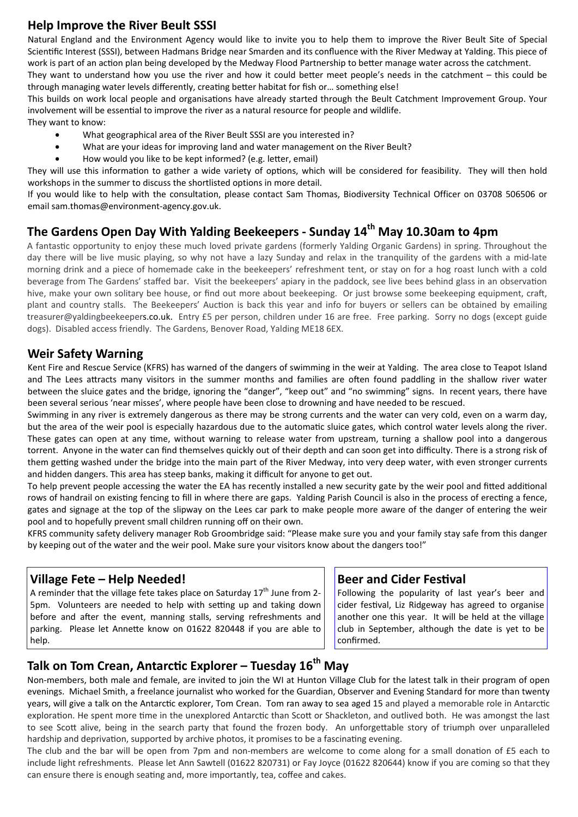#### **Help Improve the River Beult SSSI**

Natural England and the Environment Agency would like to invite you to help them to improve the River Beult Site of Special Scientific Interest (SSSI), between Hadmans Bridge near Smarden and its confluence with the River Medway at Yalding. This piece of work is part of an action plan being developed by the Medway Flood Partnership to better manage water across the catchment.

They want to understand how you use the river and how it could better meet people's needs in the catchment  $-$  this could be through managing water levels differently, creating better habitat for fish or... something else!

This builds on work local people and organisations have already started through the Beult Catchment Improvement Group. Your involvement will be essential to improve the river as a natural resource for people and wildlife.

They want to know:

- What geographical area of the River Beult SSSI are you interested in?
- What are your ideas for improving land and water management on the River Beult?
- How would you like to be kept informed? (e.g. letter, email)

They will use this information to gather a wide variety of options, which will be considered for feasibility. They will then hold workshops in the summer to discuss the shortlisted options in more detail.

If you would like to help with the consultation, please contact Sam Thomas, Biodiversity Technical Officer on 03708 506506 or email sam.thomas@environment-agency.gov.uk.

## The Gardens Open Day With Yalding Beekeepers - Sunday 14<sup>th</sup> May 10.30am to 4pm

A fantastic opportunity to enjoy these much loved private gardens (formerly Yalding Organic Gardens) in spring. Throughout the day there will be live music playing, so why not have a lazy Sunday and relax in the tranquility of the gardens with a mid-late morning drink and a piece of homemade cake in the beekeepers' refreshment tent, or stay on for a hog roast lunch with a cold beverage from The Gardens' staffed bar. Visit the beekeepers' apiary in the paddock, see live bees behind glass in an observation hive, make your own solitary bee house, or find out more about beekeeping. Or just browse some beekeeping equipment, craft, plant and country stalls. The Beekeepers' Auction is back this year and info for buyers or sellers can be obtained by emailing treasurer@yaldingbeekeepers.co.uk. Entry £5 per person, children under 16 are free. Free parking. Sorry no dogs (except guide dogs). Disabled access friendly. The Gardens, Benover Road, Yalding ME18 6EX.

#### **Weir Safety Warning**

Kent Fire and Rescue Service (KFRS) has warned of the dangers of swimming in the weir at Yalding. The area close to Teapot Island and The Lees attracts many visitors in the summer months and families are often found paddling in the shallow river water between the sluice gates and the bridge, ignoring the "danger", "keep out" and "no swimming" signs. In recent years, there have been several serious 'near misses', where people have been close to drowning and have needed to be rescued.

Swimming in any river is extremely dangerous as there may be strong currents and the water can very cold, even on a warm day, but the area of the weir pool is especially hazardous due to the automatic sluice gates, which control water levels along the river. These gates can open at any time, without warning to release water from upstream, turning a shallow pool into a dangerous torrent. Anyone in the water can find themselves quickly out of their depth and can soon get into difficulty. There is a strong risk of them getting washed under the bridge into the main part of the River Medway, into very deep water, with even stronger currents and hidden dangers. This area has steep banks, making it difficult for anyone to get out.

To help prevent people accessing the water the EA has recently installed a new security gate by the weir pool and fitted additional rows of handrail on existing fencing to fill in where there are gaps. Yalding Parish Council is also in the process of erecting a fence, gates and signage at the top of the slipway on the Lees car park to make people more aware of the danger of entering the weir pool and to hopefully prevent small children running off on their own.

KFRS community safety delivery manager Rob Groombridge said: "Please make sure you and your family stay safe from this danger by keeping out of the water and the weir pool. Make sure your visitors know about the dangers too!"

#### **Village Fete – Help Needed!**

A reminder that the village fete takes place on Saturday  $17<sup>th</sup>$  June from 2-5pm. Volunteers are needed to help with setting up and taking down before and after the event, manning stalls, serving refreshments and parking. Please let Annette know on 01622 820448 if you are able to help.

#### **Beer and Cider Festival**

Following the popularity of last year's beer and cider festival, Liz Ridgeway has agreed to organise another one this year. It will be held at the village club in September, although the date is yet to be confirmed.

## **Talk on Tom Crean, AntarcƟc Explorer – Tuesday 16th May**

Non-members, both male and female, are invited to join the WI at Hunton Village Club for the latest talk in their program of open evenings. Michael Smith, a freelance journalist who worked for the Guardian, Observer and Evening Standard for more than twenty years, will give a talk on the Antarctic explorer, Tom Crean. Tom ran away to sea aged 15 and played a memorable role in Antarctic exploration. He spent more time in the unexplored Antarctic than Scott or Shackleton, and outlived both. He was amongst the last to see Scott alive, being in the search party that found the frozen body. An unforgettable story of triumph over unparalleled hardship and deprivation, supported by archive photos, it promises to be a fascinating evening.

The club and the bar will be open from 7pm and non-members are welcome to come along for a small donation of £5 each to include light refreshments. Please let Ann Sawtell (01622 820731) or Fay Joyce (01622 820644) know if you are coming so that they can ensure there is enough seating and, more importantly, tea, coffee and cakes.